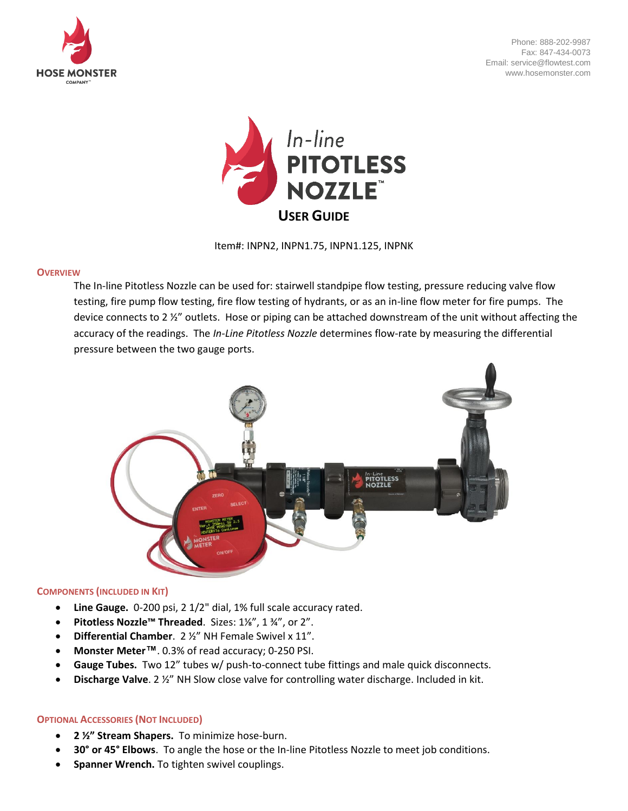

Phone: 888-202-9987 Fax: 847-434-0073 Email: service@flowtest.com www.hosemonster.com



Item#: INPN2, INPN1.75, INPN1.125, INPNK

#### **OVERVIEW**

The In-line Pitotless Nozzle can be used for: stairwell standpipe flow testing, pressure reducing valve flow testing, fire pump flow testing, fire flow testing of hydrants, or as an in-line flow meter for fire pumps. The device connects to 2 ½" outlets. Hose or piping can be attached downstream of the unit without affecting the accuracy of the readings. The *In-Line Pitotless Nozzle* determines flow-rate by measuring the differential pressure between the two gauge ports.



#### **COMPONENTS (INCLUDED IN KIT)**

- **Line Gauge.** 0-200 psi, 2 1/2" dial, 1% full scale accuracy rated.
- **Pitotless Nozzle™ Threaded**. Sizes: 1⅛", 1 ¾", or 2".
- **Differential Chamber**. 2 ½" NH Female Swivel x 11".
- **Monster Meter™**. 0.3% of read accuracy; 0-250 PSI.
- **Gauge Tubes.** Two 12" tubes w/ push-to-connect tube fittings and male quick disconnects.
- **Discharge Valve**. 2 ½" NH Slow close valve for controlling water discharge. Included in kit.

#### **OPTIONAL ACCESSORIES (NOT INCLUDED)**

- **2 ½" Stream Shapers.** To minimize hose-burn.
- **30° or 45° Elbows**. To angle the hose or the In-line Pitotless Nozzle to meet job conditions.
- **Spanner Wrench.** To tighten swivel couplings.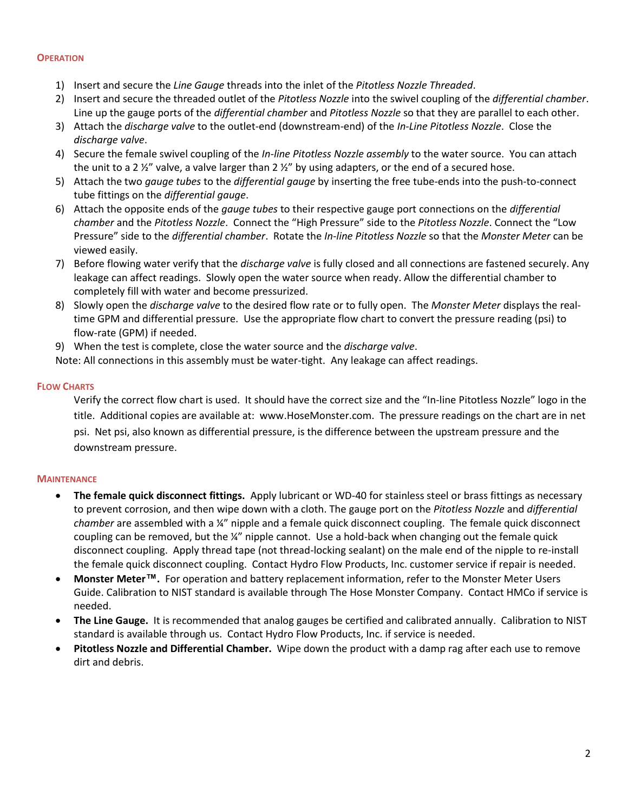## **OPERATION**

- 1) Insert and secure the *Line Gauge* threads into the inlet of the *Pitotless Nozzle Threaded*.
- 2) Insert and secure the threaded outlet of the *Pitotless Nozzle* into the swivel coupling of the *differential chamber*. Line up the gauge ports of the *differential chamber* and *Pitotless Nozzle* so that they are parallel to each other.
- 3) Attach the *discharge valve* to the outlet-end (downstream-end) of the *In-Line Pitotless Nozzle*. Close the *discharge valve*.
- 4) Secure the female swivel coupling of the *In-line Pitotless Nozzle assembly* to the water source. You can attach the unit to a 2  $\frac{y}{z}$ " valve, a valve larger than 2  $\frac{y}{z}$ " by using adapters, or the end of a secured hose.
- 5) Attach the two *gauge tubes* to the *differential gauge* by inserting the free tube-ends into the push-to-connect tube fittings on the *differential gauge*.
- 6) Attach the opposite ends of the *gauge tubes* to their respective gauge port connections on the *differential chamber* and the *Pitotless Nozzle*. Connect the "High Pressure" side to the *Pitotless Nozzle*. Connect the "Low Pressure" side to the *differential chamber*. Rotate the *In-line Pitotless Nozzle* so that the *Monster Meter* can be viewed easily.
- 7) Before flowing water verify that the *discharge valve* is fully closed and all connections are fastened securely. Any leakage can affect readings. Slowly open the water source when ready. Allow the differential chamber to completely fill with water and become pressurized.
- 8) Slowly open the *discharge valve* to the desired flow rate or to fully open. The *Monster Meter* displays the realtime GPM and differential pressure. Use the appropriate flow chart to convert the pressure reading (psi) to flow-rate (GPM) if needed.
- 9) When the test is complete, close the water source and the *discharge valve*.

Note: All connections in this assembly must be water-tight. Any leakage can affect readings.

## **FLOW CHARTS**

Verify the correct flow chart is used. It should have the correct size and the "In-line Pitotless Nozzle" logo in the title. Additional copies are available at: www.HoseMonster.com. The pressure readings on the chart are in net psi. Net psi, also known as differential pressure, is the difference between the upstream pressure and the downstream pressure.

# **MAINTENANCE**

- The female quick disconnect fittings. Apply lubricant or WD-40 for stainless steel or brass fittings as necessary to prevent corrosion, and then wipe down with a cloth. The gauge port on the *Pitotless Nozzle* and *differential chamber* are assembled with a ¼" nipple and a female quick disconnect coupling. The female quick disconnect coupling can be removed, but the ¼" nipple cannot. Use a hold-back when changing out the female quick disconnect coupling. Apply thread tape (not thread-locking sealant) on the male end of the nipple to re-install the female quick disconnect coupling. Contact Hydro Flow Products, Inc. customer service if repair is needed.
- **Monster Meter™.** For operation and battery replacement information, refer to the Monster Meter Users Guide. Calibration to NIST standard is available through The Hose Monster Company. Contact HMCo if service is needed.
- **The Line Gauge.**It is recommended that analog gauges be certified and calibrated annually. Calibration to NIST standard is available through us. Contact Hydro Flow Products, Inc. if service is needed.
- **Pitotless Nozzle and Differential Chamber.**Wipe down the product with a damp rag after each use to remove dirt and debris.